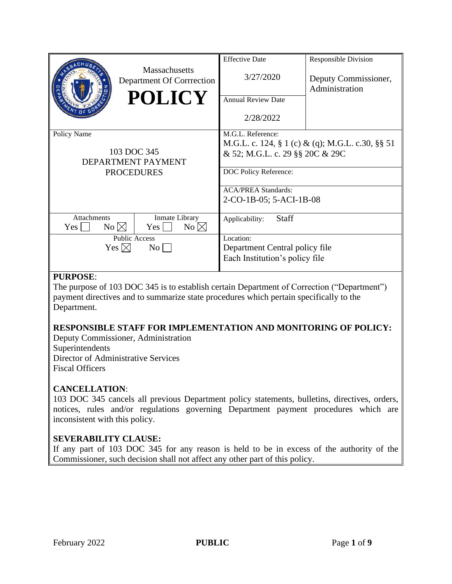|                                             |                                                     | <b>Effective Date</b>                            | <b>Responsible Division</b>            |
|---------------------------------------------|-----------------------------------------------------|--------------------------------------------------|----------------------------------------|
|                                             | <b>Massachusetts</b><br>Department Of Corrrection   | 3/27/2020                                        | Deputy Commissioner,<br>Administration |
|                                             | <b>POLICY</b>                                       | <b>Annual Review Date</b>                        |                                        |
|                                             |                                                     | 2/28/2022                                        |                                        |
| Policy Name                                 |                                                     | M.G.L. Reference:                                |                                        |
|                                             |                                                     | M.G.L. c. 124, § 1 (c) & (q); M.G.L. c.30, §§ 51 |                                        |
| 103 DOC 345                                 |                                                     | & 52; M.G.L. c. 29 §§ 20C & 29C                  |                                        |
| <b>DEPARTMENT PAYMENT</b>                   |                                                     |                                                  |                                        |
| <b>PROCEDURES</b>                           |                                                     | DOC Policy Reference:                            |                                        |
|                                             |                                                     | <b>ACA/PREA Standards:</b>                       |                                        |
|                                             |                                                     | 2-CO-1B-05; 5-ACI-1B-08                          |                                        |
|                                             |                                                     |                                                  |                                        |
| <b>Attachments</b><br>$No \boxtimes$<br>Yes | Inmate Library<br>$No \boxtimes$<br>$Yes \mid \mid$ | <b>Staff</b><br>Applicability:                   |                                        |
| <b>Public Access</b>                        |                                                     | Location:                                        |                                        |
| Yes $\boxtimes$<br>$\rm{No}$                |                                                     | Department Central policy file                   |                                        |
|                                             |                                                     | Each Institution's policy file                   |                                        |
|                                             |                                                     |                                                  |                                        |

# **PURPOSE**:

The purpose of 103 DOC 345 is to establish certain Department of Correction ("Department") payment directives and to summarize state procedures which pertain specifically to the Department.

#### **RESPONSIBLE STAFF FOR IMPLEMENTATION AND MONITORING OF POLICY:**

Deputy Commissioner, Administration Superintendents Director of Administrative Services Fiscal Officers

# **CANCELLATION**:

103 DOC 345 cancels all previous Department policy statements, bulletins, directives, orders, notices, rules and/or regulations governing Department payment procedures which are inconsistent with this policy.

# **SEVERABILITY CLAUSE:**

If any part of 103 DOC 345 for any reason is held to be in excess of the authority of the Commissioner, such decision shall not affect any other part of this policy.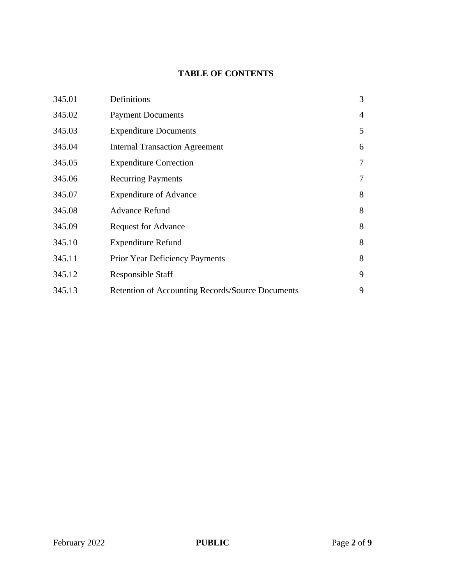# **TABLE OF CONTENTS**

| 345.01 | Definitions                                      | 3              |
|--------|--------------------------------------------------|----------------|
| 345.02 | <b>Payment Documents</b>                         | 4              |
| 345.03 | <b>Expenditure Documents</b>                     | 5              |
| 345.04 | <b>Internal Transaction Agreement</b>            | 6              |
| 345.05 | <b>Expenditure Correction</b>                    | 7              |
| 345.06 | <b>Recurring Payments</b>                        | $\overline{7}$ |
| 345.07 | <b>Expenditure of Advance</b>                    | 8              |
| 345.08 | <b>Advance Refund</b>                            | 8              |
| 345.09 | <b>Request for Advance</b>                       | 8              |
| 345.10 | <b>Expenditure Refund</b>                        | 8              |
| 345.11 | <b>Prior Year Deficiency Payments</b>            | 8              |
| 345.12 | <b>Responsible Staff</b>                         | 9              |
| 345.13 | Retention of Accounting Records/Source Documents | 9              |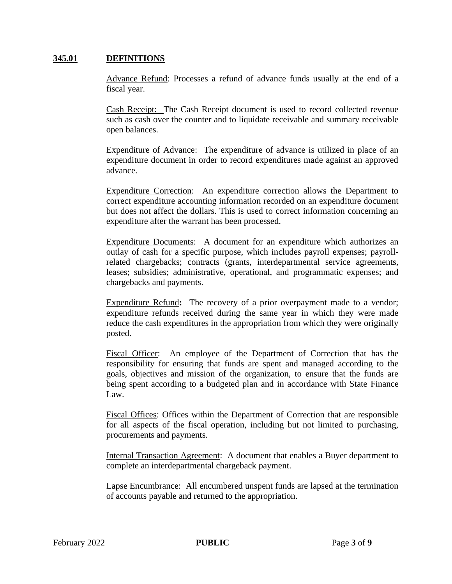# **345.01 DEFINITIONS**

Advance Refund: Processes a refund of advance funds usually at the end of a fiscal year.

Cash Receipt: The Cash Receipt document is used to record collected revenue such as cash over the counter and to liquidate receivable and summary receivable open balances.

Expenditure of Advance: The expenditure of advance is utilized in place of an expenditure document in order to record expenditures made against an approved advance.

Expenditure Correction: An expenditure correction allows the Department to correct expenditure accounting information recorded on an expenditure document but does not affect the dollars. This is used to correct information concerning an expenditure after the warrant has been processed.

Expenditure Documents: A document for an expenditure which authorizes an outlay of cash for a specific purpose, which includes payroll expenses; payrollrelated chargebacks; contracts (grants, interdepartmental service agreements, leases; subsidies; administrative, operational, and programmatic expenses; and chargebacks and payments.

Expenditure Refund**:** The recovery of a prior overpayment made to a vendor; expenditure refunds received during the same year in which they were made reduce the cash expenditures in the appropriation from which they were originally posted.

Fiscal Officer: An employee of the Department of Correction that has the responsibility for ensuring that funds are spent and managed according to the goals, objectives and mission of the organization, to ensure that the funds are being spent according to a budgeted plan and in accordance with State Finance Law.

Fiscal Offices: Offices within the Department of Correction that are responsible for all aspects of the fiscal operation, including but not limited to purchasing, procurements and payments.

Internal Transaction Agreement: A document that enables a Buyer department to complete an interdepartmental chargeback payment.

Lapse Encumbrance: All encumbered unspent funds are lapsed at the termination of accounts payable and returned to the appropriation.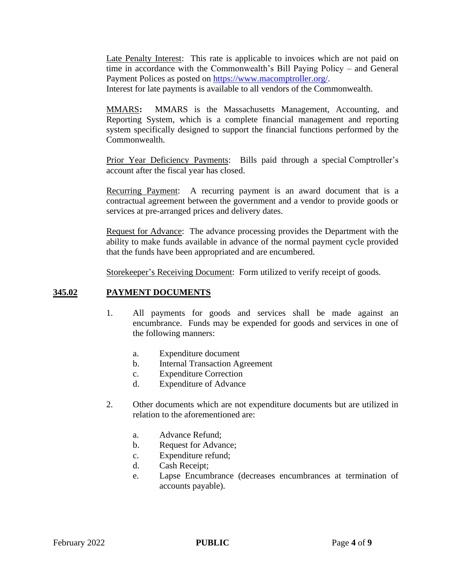Late Penalty Interest: This rate is applicable to invoices which are not paid on time in accordance with the Commonwealth's Bill Paying Policy – and General Payment Polices as posted on [https://www.macomptroller.org/.](https://www.macomptroller.org/)

Interest for late payments is available to all vendors of the Commonwealth.

[MMARS](https://mmars.state.ma.us/webapp/prod/Advantage)**:** MMARS is the Massachusetts Management, Accounting, and Reporting System, which is a complete financial management and reporting system specifically designed to support the financial functions performed by the Commonwealth.

Prior Year Deficiency Payments: Bills paid through a special Comptroller's account after the fiscal year has closed.

Recurring Payment: A recurring payment is an award document that is a contractual agreement between the government and a vendor to provide goods or services at pre-arranged prices and delivery dates.

Request for Advance: The advance processing provides the Department with the ability to make funds available in advance of the normal payment cycle provided that the funds have been appropriated and are encumbered.

Storekeeper's Receiving Document: Form utilized to verify receipt of goods.

#### **345.02 PAYMENT DOCUMENTS**

- 1. All payments for goods and services shall be made against an encumbrance. Funds may be expended for goods and services in one of the following manners:
	- a. Expenditure document
	- b. Internal Transaction Agreement
	- c. Expenditure Correction
	- d. Expenditure of Advance
- 2. Other documents which are not expenditure documents but are utilized in relation to the aforementioned are:
	- a. Advance Refund;
	- b. Request for Advance;
	- c. Expenditure refund;
	- d. Cash Receipt;
	- e. Lapse Encumbrance (decreases encumbrances at termination of accounts payable).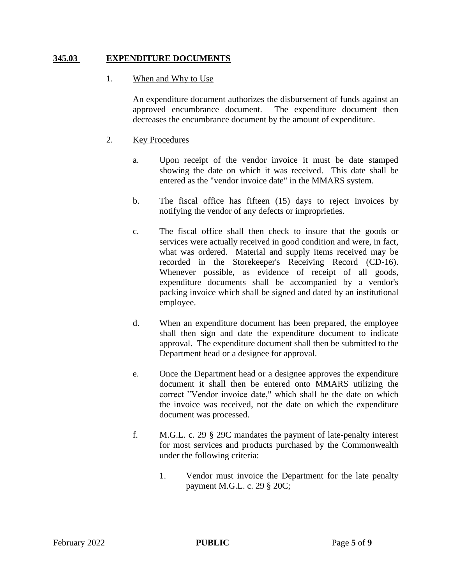# **345.03 EXPENDITURE DOCUMENTS**

## 1. When and Why to Use

An expenditure document authorizes the disbursement of funds against an approved encumbrance document. The expenditure document then decreases the encumbrance document by the amount of expenditure.

# 2. Key Procedures

- a. Upon receipt of the vendor invoice it must be date stamped showing the date on which it was received. This date shall be entered as the "vendor invoice date" in the MMARS system.
- b. The fiscal office has fifteen (15) days to reject invoices by notifying the vendor of any defects or improprieties.
- c. The fiscal office shall then check to insure that the goods or services were actually received in good condition and were, in fact, what was ordered. Material and supply items received may be recorded in the Storekeeper's Receiving Record (CD-16). Whenever possible, as evidence of receipt of all goods, expenditure documents shall be accompanied by a vendor's packing invoice which shall be signed and dated by an institutional employee.
- d. When an expenditure document has been prepared, the employee shall then sign and date the expenditure document to indicate approval. The expenditure document shall then be submitted to the Department head or a designee for approval.
- e. Once the Department head or a designee approves the expenditure document it shall then be entered onto MMARS utilizing the correct "Vendor invoice date," which shall be the date on which the invoice was received, not the date on which the expenditure document was processed.
- f. M.G.L. c. 29 § 29C mandates the payment of late-penalty interest for most services and products purchased by the Commonwealth under the following criteria:
	- 1. Vendor must invoice the Department for the late penalty payment M.G.L. c. 29 § 20C;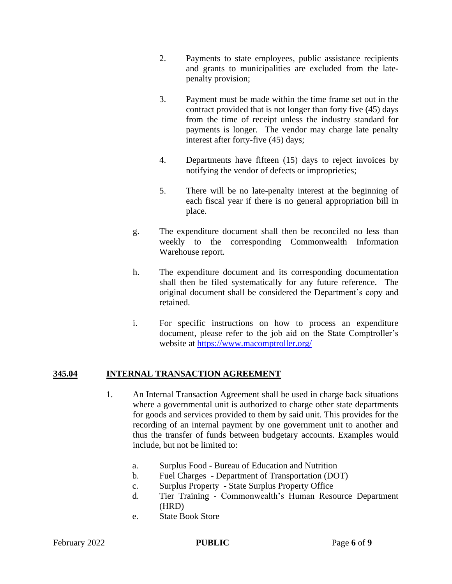- 2. Payments to state employees, public assistance recipients and grants to municipalities are excluded from the latepenalty provision;
- 3. Payment must be made within the time frame set out in the contract provided that is not longer than forty five (45) days from the time of receipt unless the industry standard for payments is longer. The vendor may charge late penalty interest after forty-five (45) days;
- 4. Departments have fifteen (15) days to reject invoices by notifying the vendor of defects or improprieties;
- 5. There will be no late-penalty interest at the beginning of each fiscal year if there is no general appropriation bill in place.
- g. The expenditure document shall then be reconciled no less than weekly to the corresponding Commonwealth Information Warehouse report.
- h. The expenditure document and its corresponding documentation shall then be filed systematically for any future reference. The original document shall be considered the Department's copy and retained.
- i. For specific instructions on how to process an expenditure document, please refer to the job aid on the State Comptroller's website at<https://www.macomptroller.org/>

# **345.04 INTERNAL TRANSACTION AGREEMENT**

- 1. An Internal Transaction Agreement shall be used in charge back situations where a governmental unit is authorized to charge other state departments for goods and services provided to them by said unit. This provides for the recording of an internal payment by one government unit to another and thus the transfer of funds between budgetary accounts. Examples would include, but not be limited to:
	- a. Surplus Food Bureau of Education and Nutrition
	- b. Fuel Charges Department of Transportation (DOT)
	- c. Surplus Property State Surplus Property Office
	- d. Tier Training Commonwealth's Human Resource Department (HRD)
	- e. State Book Store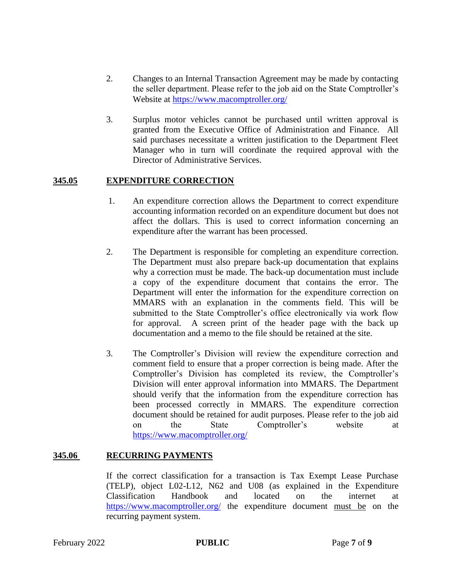- 2. Changes to an Internal Transaction Agreement may be made by contacting the seller department. Please refer to the job aid on the State Comptroller's Website at<https://www.macomptroller.org/>
- 3. Surplus motor vehicles cannot be purchased until written approval is granted from the Executive Office of Administration and Finance. All said purchases necessitate a written justification to the Department Fleet Manager who in turn will coordinate the required approval with the Director of Administrative Services.

# **345.05 EXPENDITURE CORRECTION**

- 1. An expenditure correction allows the Department to correct expenditure accounting information recorded on an expenditure document but does not affect the dollars. This is used to correct information concerning an expenditure after the warrant has been processed.
- 2. The Department is responsible for completing an expenditure correction. The Department must also prepare back-up documentation that explains why a correction must be made. The back-up documentation must include a copy of the expenditure document that contains the error. The Department will enter the information for the expenditure correction on MMARS with an explanation in the comments field. This will be submitted to the State Comptroller's office electronically via work flow for approval. A screen print of the header page with the back up documentation and a memo to the file should be retained at the site.
- 3. The Comptroller's Division will review the expenditure correction and comment field to ensure that a proper correction is being made. After the Comptroller's Division has completed its review, the Comptroller's Division will enter approval information into MMARS. The Department should verify that the information from the expenditure correction has been processed correctly in MMARS. The expenditure correction document should be retained for audit purposes. Please refer to the job aid on the State Comptroller's website at <https://www.macomptroller.org/>

## **345.06 RECURRING PAYMENTS**

If the correct classification for a transaction is Tax Exempt Lease Purchase (TELP), object L02-L12, N62 and U08 (as explained in the Expenditure Classification Handbook and located on the internet at <https://www.macomptroller.org/> the expenditure document must be on the recurring payment system.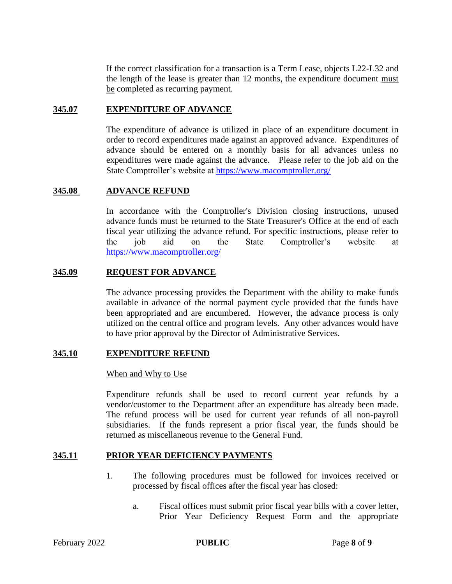If the correct classification for a transaction is a Term Lease, objects L22-L32 and the length of the lease is greater than 12 months, the expenditure document must be completed as recurring payment.

#### **345.07 EXPENDITURE OF ADVANCE**

The expenditure of advance is utilized in place of an expenditure document in order to record expenditures made against an approved advance. Expenditures of advance should be entered on a monthly basis for all advances unless no expenditures were made against the advance. Please refer to the job aid on the State Comptroller's website at<https://www.macomptroller.org/>

#### **345.08 ADVANCE REFUND**

In accordance with the Comptroller's Division closing instructions, unused advance funds must be returned to the State Treasurer's Office at the end of each fiscal year utilizing the advance refund. For specific instructions, please refer to the job aid on the State Comptroller's website at <https://www.macomptroller.org/>

#### **345.09 REQUEST FOR ADVANCE**

The advance processing provides the Department with the ability to make funds available in advance of the normal payment cycle provided that the funds have been appropriated and are encumbered. However, the advance process is only utilized on the central office and program levels. Any other advances would have to have prior approval by the Director of Administrative Services.

#### **345.10 EXPENDITURE REFUND**

#### When and Why to Use

Expenditure refunds shall be used to record current year refunds by a vendor/customer to the Department after an expenditure has already been made. The refund process will be used for current year refunds of all non-payroll subsidiaries. If the funds represent a prior fiscal year, the funds should be returned as miscellaneous revenue to the General Fund.

#### **345.11 PRIOR YEAR DEFICIENCY PAYMENTS**

- 1. The following procedures must be followed for invoices received or processed by fiscal offices after the fiscal year has closed:
	- a. Fiscal offices must submit prior fiscal year bills with a cover letter, Prior Year Deficiency Request Form and the appropriate